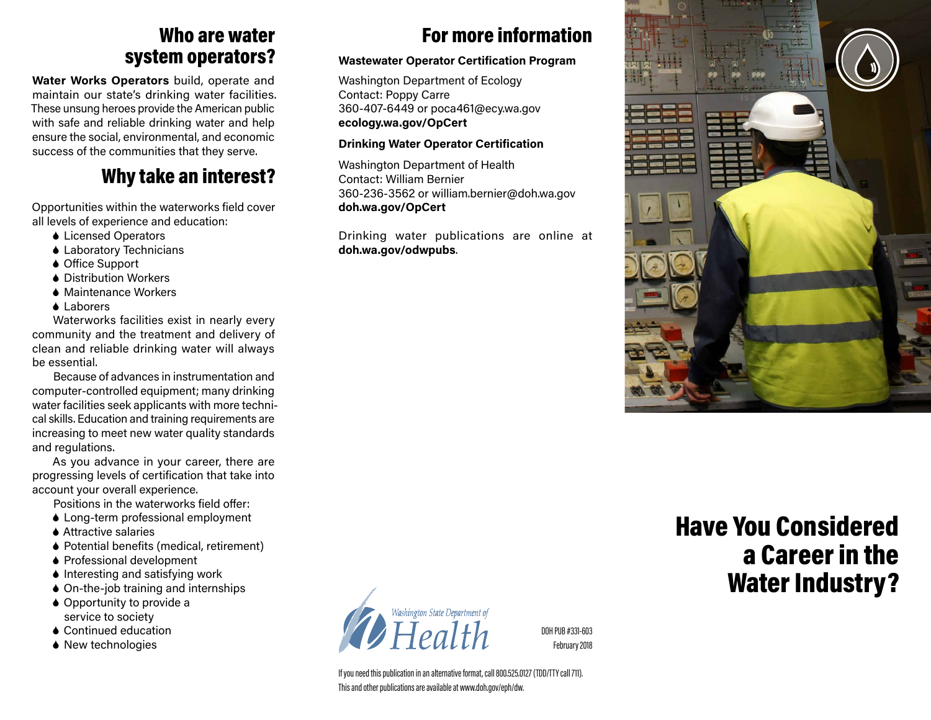### Who are water system operators?

**Water Works Operators** build, operate and maintain our state's drinking water facilities. These unsung heroes provide the American public with safe and reliable drinking water and help ensure the social, environmental, and economic success of the communities that they serve.

## Why take an interest?

Opportunities within the waterworks field cover all levels of experience and education:

- 6 Licensed Operators
- ◆ Laboratory Technicians
- ◆ Office Support
- **▲ Distribution Workers**
- 6 Maintenance Workers
- **▲ Laborers**

Waterworks facilities exist in nearly every community and the treatment and delivery of clean and reliable drinking water will always be essential.

Because of advances in instrumentation and computer-controlled equipment; many drinking water facilities seek applicants with more technical skills. Education and training requirements are increasing to meet new water quality standards and regulations.

As you advance in your career, there are progressing levels of certification that take into account your overall experience.

Positions in the waterworks field offer:

- 6 Long-term professional employment
- **▲ Attractive salaries**
- ◆ Potential benefits (medical, retirement)
- 6 Professional development
- ◆ Interesting and satisfying work
- ♦ On-the-job training and internships
- ♦ Opportunity to provide a service to society
- 6 Continued education
- ◆ New technologies

## For more information

### **Wastewater Operator Certification Program**

Washington Department of Ecology Contact: Poppy Carre 360-407-6449 or poca461@ecy.wa.gov **ecology.wa.gov/OpCert** 

### **Drinking Water Operator Certification**

Washington Department of Health Contact: William Bernier 360-236-3562 or william.bernier@doh.wa.gov **doh.wa.gov/OpCert**

Drinking water publications are online at **doh.wa.gov/odwpubs**.



# Have You Considered a Career in the Water Industry?

Washington State Department of  $\sum$ Health

DOH PUB #331-603 February 2018

If you need this publication in an alternative format, call 800.525.0127 (TDD/TTY call 711). This and other publications are available at www.doh.gov/eph/dw.